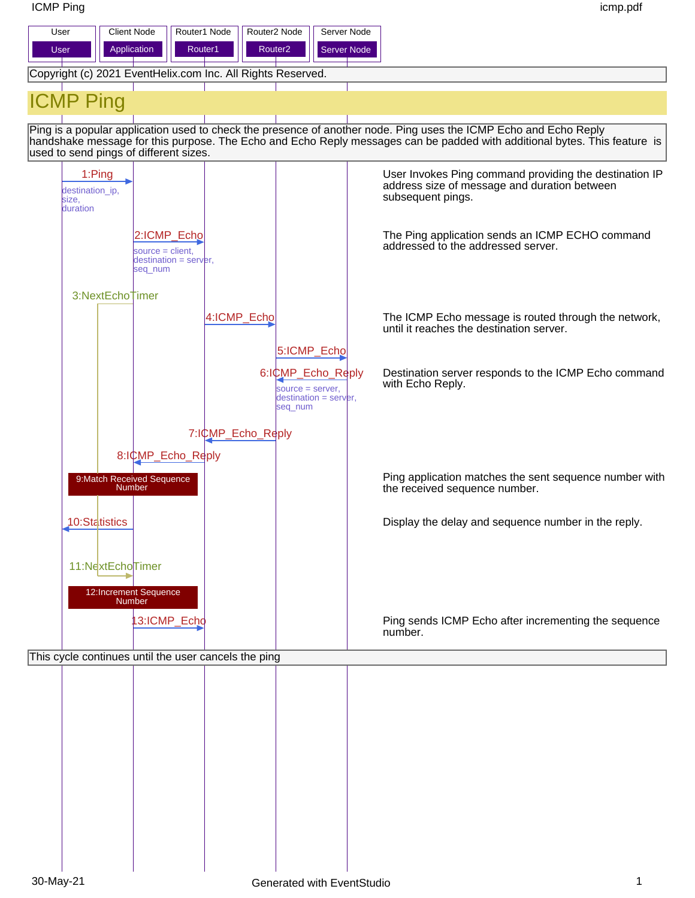ICMP Ping icmp.pdf

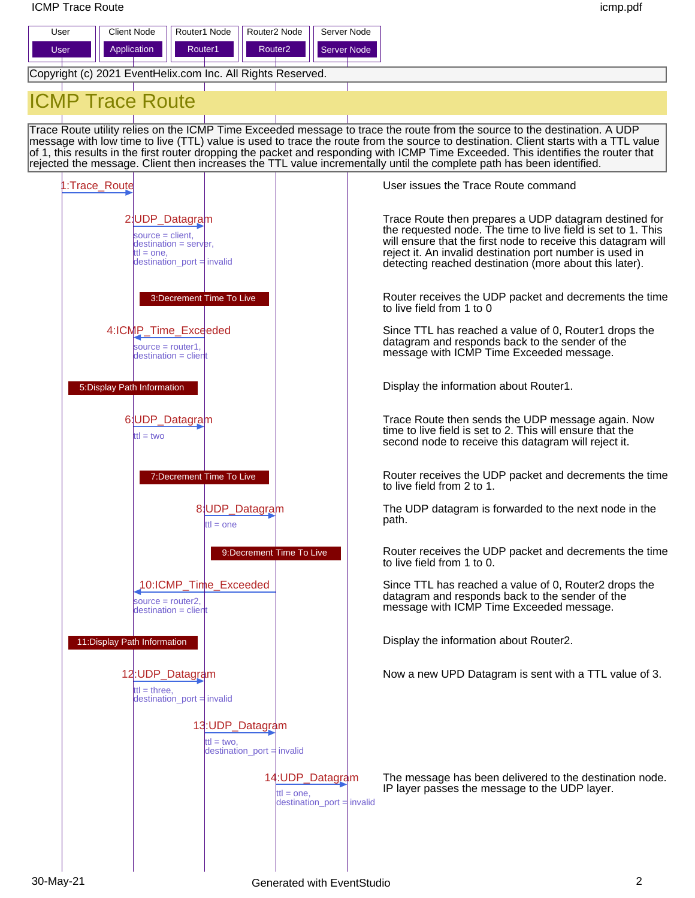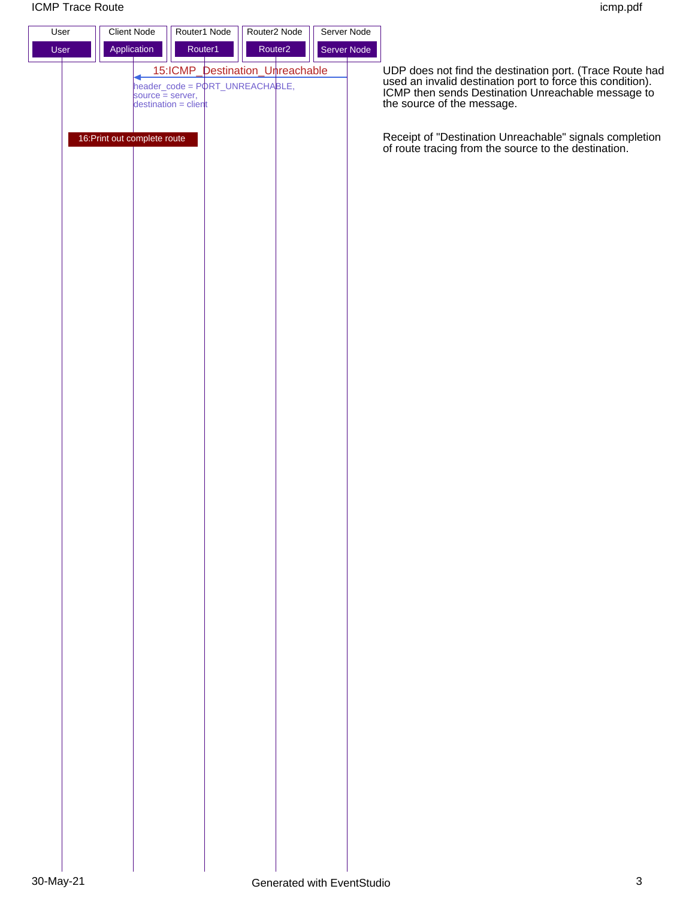

UDP does not find the destination port. (Trace Route had used an invalid destination port to force this condition). ICMP then sends Destination Unreachable message to the source of the message.

of route tracing from the source to the destination.